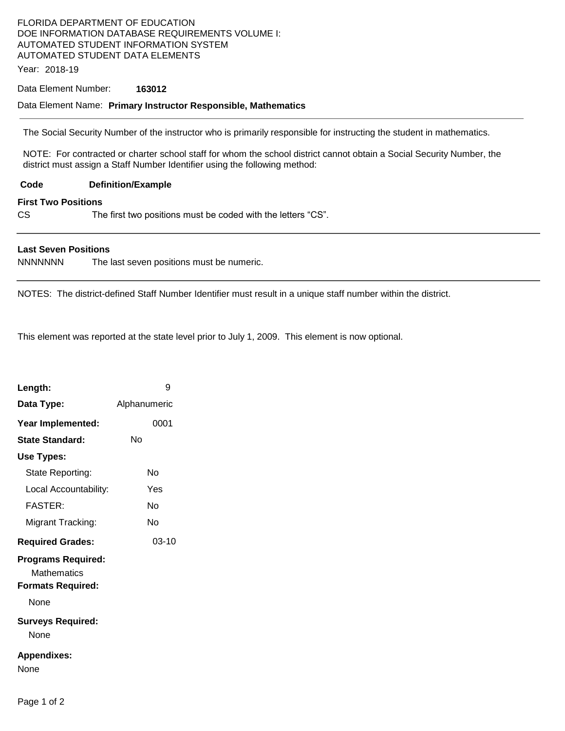# FLORIDA DEPARTMENT OF EDUCATION DOE INFORMATION DATABASE REQUIREMENTS VOLUME I: AUTOMATED STUDENT INFORMATION SYSTEM AUTOMATED STUDENT DATA ELEMENTS

Year: 2018-19

### Data Element Number: **163012**

### Data Element Name: **Primary Instructor Responsible, Mathematics**

The Social Security Number of the instructor who is primarily responsible for instructing the student in mathematics.

NOTE: For contracted or charter school staff for whom the school district cannot obtain a Social Security Number, the district must assign a Staff Number Identifier using the following method:

**Code Definition/Example** 

#### **First Two Positions**

CS The first two positions must be coded with the letters "CS".

### **Last Seven Positions**

NNNNNNN The last seven positions must be numeric.

NOTES: The district-defined Staff Number Identifier must result in a unique staff number within the district.

This element was reported at the state level prior to July 1, 2009. This element is now optional.

| Length:                                                              | 9            |
|----------------------------------------------------------------------|--------------|
| Data Type:                                                           | Alphanumeric |
| Year Implemented:                                                    | 0001         |
| <b>State Standard:</b>                                               | N٥           |
| Use Types:                                                           |              |
| State Reporting:                                                     | N٥           |
| Local Accountability:                                                | Yes          |
| FASTFR·                                                              | N٥           |
| Migrant Tracking:                                                    | N٥           |
| <b>Required Grades:</b>                                              | 03-10        |
| <b>Programs Required:</b><br>Mathematics<br><b>Formats Required:</b> |              |
| None                                                                 |              |
| <b>Surveys Required:</b><br>None                                     |              |
| <b>Appendixes:</b><br>None                                           |              |